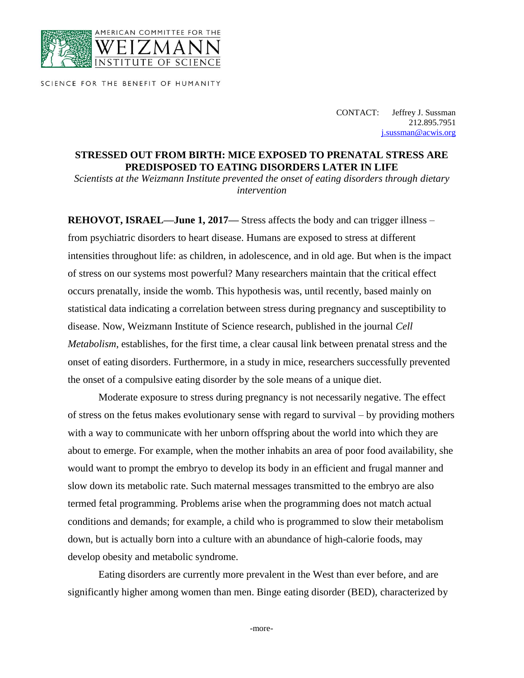

SCIENCE FOR THE BENEFIT OF HUMANITY

CONTACT: Jeffrey J. Sussman 212.895.7951 [j.sussman@acwis.org](mailto:j.sussman@acwis.org)

## **STRESSED OUT FROM BIRTH: MICE EXPOSED TO PRENATAL STRESS ARE PREDISPOSED TO EATING DISORDERS LATER IN LIFE**

*Scientists at the Weizmann Institute prevented the onset of eating disorders through dietary intervention*

**REHOVOT, ISRAEL—June 1, 2017—** Stress affects the body and can trigger illness – from psychiatric disorders to heart disease. Humans are exposed to stress at different intensities throughout life: as children, in adolescence, and in old age. But when is the impact of stress on our systems most powerful? Many researchers maintain that the critical effect occurs prenatally, inside the womb. This hypothesis was, until recently, based mainly on statistical data indicating a correlation between stress during pregnancy and susceptibility to disease. Now, Weizmann Institute of Science research, published in the journal *Cell Metabolism*, establishes, for the first time, a clear causal link between prenatal stress and the onset of eating disorders. Furthermore, in a study in mice, researchers successfully prevented the onset of a compulsive eating disorder by the sole means of a unique diet.

Moderate exposure to stress during pregnancy is not necessarily negative. The effect of stress on the fetus makes evolutionary sense with regard to survival – by providing mothers with a way to communicate with her unborn offspring about the world into which they are about to emerge. For example, when the mother inhabits an area of poor food availability, she would want to prompt the embryo to develop its body in an efficient and frugal manner and slow down its metabolic rate. Such maternal messages transmitted to the embryo are also termed fetal programming. Problems arise when the programming does not match actual conditions and demands; for example, a child who is programmed to slow their metabolism down, but is actually born into a culture with an abundance of high-calorie foods, may develop obesity and metabolic syndrome.

Eating disorders are currently more prevalent in the West than ever before, and are significantly higher among women than men. Binge eating disorder (BED), characterized by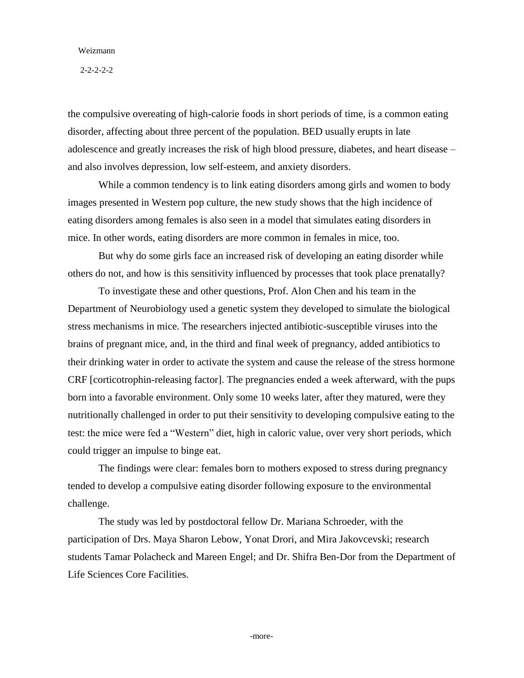## Weizmann

2-2-2-2-2

the compulsive overeating of high-calorie foods in short periods of time, is a common eating disorder, affecting about three percent of the population. BED usually erupts in late adolescence and greatly increases the risk of high blood pressure, diabetes, and heart disease – and also involves depression, low self-esteem, and anxiety disorders.

While a common tendency is to link eating disorders among girls and women to body images presented in Western pop culture, the new study shows that the high incidence of eating disorders among females is also seen in a model that simulates eating disorders in mice. In other words, eating disorders are more common in females in mice, too.

But why do some girls face an increased risk of developing an eating disorder while others do not, and how is this sensitivity influenced by processes that took place prenatally?

To investigate these and other questions, Prof. Alon Chen and his team in the Department of Neurobiology used a genetic system they developed to simulate the biological stress mechanisms in mice. The researchers injected antibiotic-susceptible viruses into the brains of pregnant mice, and, in the third and final week of pregnancy, added antibiotics to their drinking water in order to activate the system and cause the release of the stress hormone CRF [corticotrophin-releasing factor]. The pregnancies ended a week afterward, with the pups born into a favorable environment. Only some 10 weeks later, after they matured, were they nutritionally challenged in order to put their sensitivity to developing compulsive eating to the test: the mice were fed a "Western" diet, high in caloric value, over very short periods, which could trigger an impulse to binge eat.

The findings were clear: females born to mothers exposed to stress during pregnancy tended to develop a compulsive eating disorder following exposure to the environmental challenge.

The study was led by postdoctoral fellow Dr. Mariana Schroeder, with the participation of Drs. Maya Sharon Lebow, Yonat Drori, and Mira Jakovcevski; research students Tamar Polacheck and Mareen Engel; and Dr. Shifra Ben-Dor from the Department of Life Sciences Core Facilities.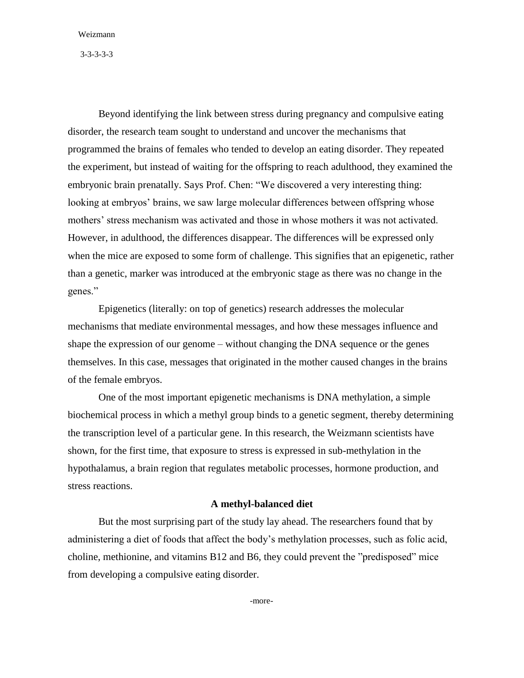Weizmann

3-3-3-3-3

Beyond identifying the link between stress during pregnancy and compulsive eating disorder, the research team sought to understand and uncover the mechanisms that programmed the brains of females who tended to develop an eating disorder. They repeated the experiment, but instead of waiting for the offspring to reach adulthood, they examined the embryonic brain prenatally. Says Prof. Chen: "We discovered a very interesting thing: looking at embryos' brains, we saw large molecular differences between offspring whose mothers' stress mechanism was activated and those in whose mothers it was not activated. However, in adulthood, the differences disappear. The differences will be expressed only when the mice are exposed to some form of challenge. This signifies that an epigenetic, rather than a genetic, marker was introduced at the embryonic stage as there was no change in the genes."

Epigenetics (literally: on top of genetics) research addresses the molecular mechanisms that mediate environmental messages, and how these messages influence and shape the expression of our genome – without changing the DNA sequence or the genes themselves. In this case, messages that originated in the mother caused changes in the brains of the female embryos.

One of the most important epigenetic mechanisms is DNA methylation, a simple biochemical process in which a methyl group binds to a genetic segment, thereby determining the transcription level of a particular gene. In this research, the Weizmann scientists have shown, for the first time, that exposure to stress is expressed in sub-methylation in the hypothalamus, a brain region that regulates metabolic processes, hormone production, and stress reactions.

## **A methyl-balanced diet**

But the most surprising part of the study lay ahead. The researchers found that by administering a diet of foods that affect the body's methylation processes, such as folic acid, choline, methionine, and vitamins B12 and B6, they could prevent the "predisposed" mice from developing a compulsive eating disorder.

-more-